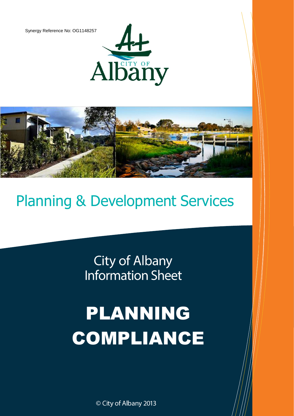Synergy Reference No: OG1148257





## Planning & Development Services

**City of Albany Information Sheet** 

# PLANNING COMPLIANCE

© City of Albany 2013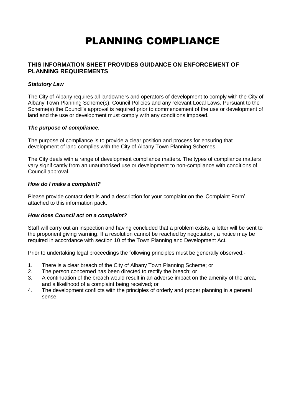### PLANNING COMPLIANCE

#### **THIS INFORMATION SHEET PROVIDES GUIDANCE ON ENFORCEMENT OF PLANNING REQUIREMENTS**

#### *Statutory Law*

The City of Albany requires all landowners and operators of development to comply with the City of Albany Town Planning Scheme(s), Council Policies and any relevant Local Laws. Pursuant to the Scheme(s) the Council's approval is required prior to commencement of the use or development of land and the use or development must comply with any conditions imposed.

#### *The purpose of compliance.*

The purpose of compliance is to provide a clear position and process for ensuring that development of land complies with the City of Albany Town Planning Schemes.

The City deals with a range of development compliance matters. The types of compliance matters vary significantly from an unauthorised use or development to non-compliance with conditions of Council approval.

#### *How do I make a complaint?*

Please provide contact details and a description for your complaint on the 'Complaint Form' attached to this information pack.

#### *How does Council act on a complaint?*

Staff will carry out an inspection and having concluded that a problem exists, a letter will be sent to the proponent giving warning. If a resolution cannot be reached by negotiation, a notice may be required in accordance with section 10 of the Town Planning and Development Act.

Prior to undertaking legal proceedings the following principles must be generally observed:-

- 1. There is a clear breach of the City of Albany Town Planning Scheme; or
- 2. The person concerned has been directed to rectify the breach; or
- 3. A continuation of the breach would result in an adverse impact on the amenity of the area, and a likelihood of a complaint being received; or
- 4. The development conflicts with the principles of orderly and proper planning in a general sense.